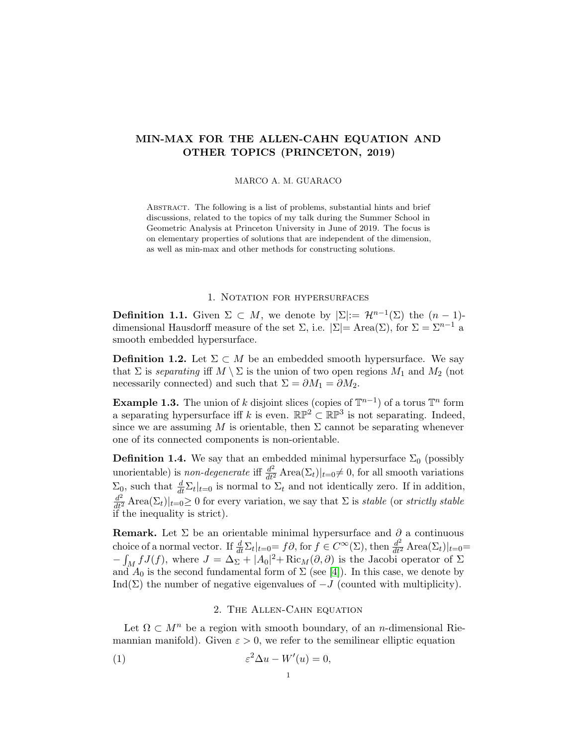# MIN-MAX FOR THE ALLEN-CAHN EQUATION AND OTHER TOPICS (PRINCETON, 2019)

#### MARCO A. M. GUARACO

Abstract. The following is a list of problems, substantial hints and brief discussions, related to the topics of my talk during the Summer School in Geometric Analysis at Princeton University in June of 2019. The focus is on elementary properties of solutions that are independent of the dimension, as well as min-max and other methods for constructing solutions.

## 1. NOTATION FOR HYPERSURFACES

**Definition 1.1.** Given  $\Sigma \subset M$ , we denote by  $|\Sigma| := \mathcal{H}^{n-1}(\Sigma)$  the  $(n-1)$ dimensional Hausdorff measure of the set  $\Sigma$ , i.e.  $|\Sigma|=$  Area $(\Sigma)$ , for  $\Sigma=\Sigma^{n-1}$  a smooth embedded hypersurface.

**Definition 1.2.** Let  $\Sigma \subset M$  be an embedded smooth hypersurface. We say that  $\Sigma$  is separating iff  $M \setminus \Sigma$  is the union of two open regions  $M_1$  and  $M_2$  (not necessarily connected) and such that  $\Sigma = \partial M_1 = \partial M_2$ .

**Example 1.3.** The union of k disjoint slices (copies of  $\mathbb{T}^{n-1}$ ) of a torus  $\mathbb{T}^n$  form a separating hypersurface iff k is even.  $\mathbb{RP}^2 \subset \mathbb{RP}^3$  is not separating. Indeed, since we are assuming M is orientable, then  $\Sigma$  cannot be separating whenever one of its connected components is non-orientable.

**Definition 1.4.** We say that an embedded minimal hypersurface  $\Sigma_0$  (possibly unorientable) is *non-degenerate* iff  $\frac{d^2}{dt^2}$  Area $(\Sigma_t)|_{t=0} \neq 0$ , for all smooth variations  $\Sigma_0$ , such that  $\frac{d}{dt} \Sigma_t |_{t=0}$  is normal to  $\Sigma_t$  and not identically zero. If in addition,  $\frac{d^2}{dt^2}$  Area $(\Sigma_t)|_{t=0} \geq 0$  for every variation, we say that  $\Sigma$  is *stable* (or *strictly stable* if the inequality is strict).

**Remark.** Let  $\Sigma$  be an orientable minimal hypersurface and  $\partial$  a continuous choice of a normal vector. If  $\frac{d}{dt} \Sigma_t|_{t=0} = f\partial$ , for  $f \in C^\infty(\Sigma)$ , then  $\frac{d^2}{dt^2}$  Area $(\Sigma_t)|_{t=0} =$  $-\int_M f J(f)$ , where  $J = \Delta_{\Sigma} + |A_0|^2 + \text{Ric}_M(\partial, \partial)$  is the Jacobi operator of  $\Sigma$ and  $A_0$  is the second fundamental form of  $\Sigma$  (see [\[4\]](#page-7-0)). In this case, we denote by Ind( $\Sigma$ ) the number of negative eigenvalues of  $-J$  (counted with multiplicity).

## 2. The Allen-Cahn equation

Let  $\Omega \subset M^n$  be a region with smooth boundary, of an *n*-dimensional Riemannian manifold). Given  $\varepsilon > 0$ , we refer to the semilinear elliptic equation

<span id="page-0-0"></span>(1) 
$$
\varepsilon^2 \Delta u - W'(u) = 0,
$$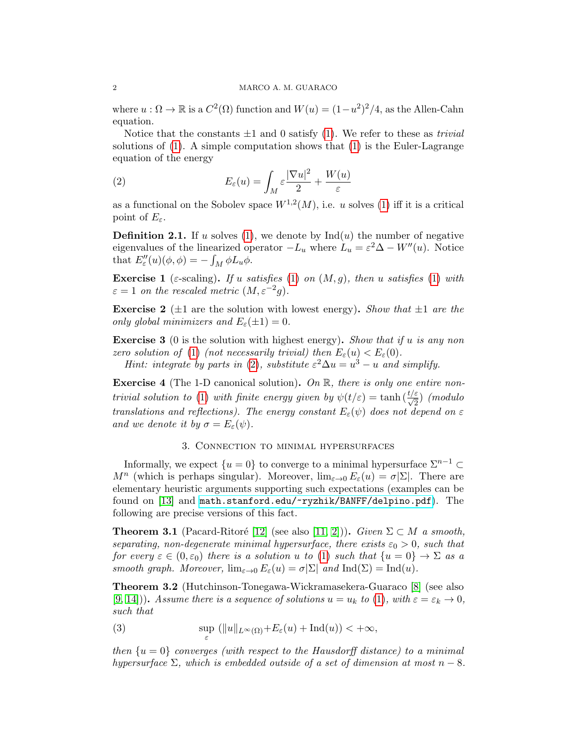where  $u : \Omega \to \mathbb{R}$  is a  $C^2(\Omega)$  function and  $W(u) = (1 - u^2)^2/4$ , as the Allen-Cahn equation.

Notice that the constants  $\pm 1$  and 0 satisfy [\(1\)](#page-0-0). We refer to these as *trivial* solutions of  $(1)$ . A simple computation shows that  $(1)$  is the Euler-Lagrange equation of the energy

<span id="page-1-0"></span>(2) 
$$
E_{\varepsilon}(u) = \int_M \varepsilon \frac{|\nabla u|^2}{2} + \frac{W(u)}{\varepsilon}
$$

as a functional on the Sobolev space  $W^{1,2}(M)$ , i.e. u solves [\(1\)](#page-0-0) iff it is a critical point of  $E_{\varepsilon}$ .

**Definition 2.1.** If u solves [\(1\)](#page-0-0), we denote by  $\text{Ind}(u)$  the number of negative eigenvalues of the linearized operator  $-L_u$  where  $L_u = \varepsilon^2 \Delta - W''(u)$ . Notice that  $E''_{\varepsilon}(u)(\phi, \phi) = -\int_M \phi L_u \phi$ .

Exercise 1 ( $\varepsilon$ -scaling). If u satisfies [\(1\)](#page-0-0) on  $(M, g)$ , then u satisfies (1) with  $\varepsilon = 1$  on the rescaled metric  $(M, \varepsilon^{-2}g)$ .

**Exercise 2** ( $\pm 1$  are the solution with lowest energy). Show that  $\pm 1$  are the only global minimizers and  $E_{\varepsilon}(\pm 1) = 0$ .

**Exercise 3** (0 is the solution with highest energy). Show that if u is any non zero solution of [\(1\)](#page-0-0) (not necessarily trivial) then  $E_{\varepsilon}(u) < E_{\varepsilon}(0)$ .

Hint: integrate by parts in [\(2\)](#page-1-0), substitute  $\varepsilon^2 \Delta u = u^3 - u$  and simplify.

**Exercise 4** (The 1-D canonical solution). On  $\mathbb{R}$ , there is only one entire non-trivial solution to [\(1\)](#page-0-0) with finite energy given by  $\psi(t/\varepsilon) = \tanh(\frac{t/\varepsilon}{\sqrt{2}})$  (modulo translations and reflections). The energy constant  $E_{\varepsilon}(\psi)$  does not depend on  $\varepsilon$ and we denote it by  $\sigma = E_{\varepsilon}(\psi)$ .

## 3. Connection to minimal hypersurfaces

<span id="page-1-2"></span>Informally, we expect  $\{u = 0\}$  to converge to a minimal hypersurface  $\Sigma^{n-1}$  $M^n$  (which is perhaps singular). Moreover,  $\lim_{\varepsilon \to 0} E_{\varepsilon}(u) = \sigma |\Sigma|$ . There are elementary heuristic arguments supporting such expectations (examples can be found on [\[13\]](#page-8-0) and <math.stanford.edu/~ryzhik/BANFF/delpino.pdf>). The following are precise versions of this fact.

**Theorem 3.1** (Pacard-Ritoré [\[12\]](#page-8-1) (see also [\[11,](#page-8-2) [2\]](#page-7-1))). Given  $\Sigma \subset M$  a smooth, separating, non-degenerate minimal hypersurface, there exists  $\varepsilon_0 > 0$ , such that for every  $\varepsilon \in (0, \varepsilon_0)$  there is a solution u to [\(1\)](#page-0-0) such that  $\{u = 0\} \to \Sigma$  as a smooth graph. Moreover,  $\lim_{\varepsilon \to 0} E_{\varepsilon}(u) = \sigma |\Sigma|$  and  $\text{Ind}(\Sigma) = \text{Ind}(u)$ .

Theorem 3.2 (Hutchinson-Tonegawa-Wickramasekera-Guaraco [\[8\]](#page-7-2) (see also  $[9, 14]$  $[9, 14]$  $[9, 14]$ ). Assume there is a sequence of solutions  $u = u_k$  to [\(1\)](#page-0-0), with  $\varepsilon = \varepsilon_k \to 0$ , such that

<span id="page-1-1"></span>(3) 
$$
\sup_{\varepsilon} (||u||_{L^{\infty}(\Omega)} + E_{\varepsilon}(u) + \text{Ind}(u)) < +\infty,
$$

then  $\{u=0\}$  converges (with respect to the Hausdorff distance) to a minimal hypersurface  $\Sigma$ , which is embedded outside of a set of dimension at most  $n-8$ .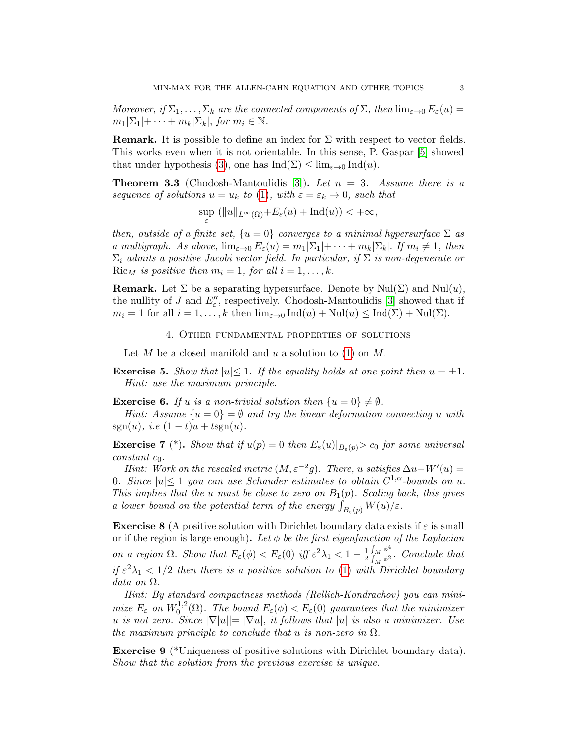Moreover, if  $\Sigma_1, \ldots, \Sigma_k$  are the connected components of  $\Sigma$ , then  $\lim_{\varepsilon \to 0} E_{\varepsilon}(u) =$  $m_1|\Sigma_1|+\cdots+m_k|\Sigma_k|$ , for  $m_i \in \mathbb{N}$ .

**Remark.** It is possible to define an index for  $\Sigma$  with respect to vector fields. This works even when it is not orientable. In this sense, P. Gaspar [\[5\]](#page-7-3) showed that under hypothesis [\(3\)](#page-1-1), one has  $\text{Ind}(\Sigma) \leq \lim_{\varepsilon \to 0} \text{Ind}(u)$ .

**Theorem 3.3** (Chodosh-Mantoulidis [\[3\]](#page-7-4)). Let  $n = 3$ . Assume there is a sequence of solutions  $u = u_k$  to [\(1\)](#page-0-0), with  $\varepsilon = \varepsilon_k \to 0$ , such that

$$
\sup_\varepsilon\ ( \|u\|_{L^\infty(\Omega)}+E_\varepsilon(u)+\mathrm{Ind}(u))<+\infty,
$$

then, outside of a finite set,  $\{u = 0\}$  converges to a minimal hypersurface  $\Sigma$  as a multigraph. As above,  $\lim_{\varepsilon\to 0} E_{\varepsilon}(u) = m_1|\Sigma_1| + \cdots + m_k|\Sigma_k|$ . If  $m_i \neq 1$ , then  $\Sigma_i$  admits a positive Jacobi vector field. In particular, if  $\Sigma$  is non-degenerate or Ric<sub>M</sub> is positive then  $m_i = 1$ , for all  $i = 1, \ldots, k$ .

**Remark.** Let  $\Sigma$  be a separating hypersurface. Denote by  $\text{Nul}(\Sigma)$  and  $\text{Nul}(u)$ , the nullity of J and  $E''_{\varepsilon}$ , respectively. Chodosh-Mantoulidis [\[3\]](#page-7-4) showed that if  $m_i = 1$  for all  $i = 1, ..., k$  then  $\lim_{\varepsilon \to 0} \text{Ind}(u) + \text{Nul}(u) \leq \text{Ind}(\Sigma) + \text{Nul}(\Sigma)$ .

4. Other fundamental properties of solutions

Let M be a closed manifold and u a solution to  $(1)$  on M.

**Exercise 5.** Show that  $|u| \leq 1$ . If the equality holds at one point then  $u = \pm 1$ . Hint: use the maximum principle.

<span id="page-2-0"></span>**Exercise 6.** If u is a non-trivial solution then  $\{u = 0\} \neq \emptyset$ .

Hint: Assume  $\{u=0\}=\emptyset$  and try the linear deformation connecting u with sgn(u), i.e  $(1-t)u + t$ sgn(u).

<span id="page-2-1"></span>**Exercise 7** (\*). Show that if  $u(p) = 0$  then  $E_{\varepsilon}(u)|_{B_{\varepsilon}(p)} > c_0$  for some universal  $constant$   $c_0$ .

Hint: Work on the rescaled metric  $(M, \varepsilon^{-2}g)$ . There, u satisfies  $\Delta u - W'(u) =$ 0. Since  $|u| \leq 1$  you can use Schauder estimates to obtain  $C^{1,\alpha}$ -bounds on u. This implies that the u must be close to zero on  $B_1(p)$ . Scaling back, this gives a lower bound on the potential term of the energy  $\int_{B_{\varepsilon}(p)} W(u)/\varepsilon$ .

<span id="page-2-2"></span>**Exercise 8** (A positive solution with Dirichlet boundary data exists if  $\varepsilon$  is small or if the region is large enough). Let  $\phi$  be the first eigenfunction of the Laplacian on a region  $\Omega$ . Show that  $E_{\varepsilon}(\phi) < E_{\varepsilon}(0)$  iff  $\varepsilon^2 \lambda_1 < 1 - \frac{1}{2}$  $\overline{2}$  $\int_M \phi^4$  $\frac{\int_M \phi^2}{\int_M \phi^2}$ . Conclude that if  $\varepsilon^2 \lambda_1 < 1/2$  then there is a positive solution to [\(1\)](#page-0-0) with Dirichlet boundary data on Ω.

Hint: By standard compactness methods (Rellich-Kondrachov) you can minimize  $E_\varepsilon$  on  $W_0^{1,2}$  $\int_0^{1,2}$ ( $\Omega$ ). The bound  $E_\varepsilon(\phi) < E_\varepsilon(0)$  guarantees that the minimizer u is not zero. Since  $|\nabla |u|| = |\nabla u|$ , it follows that  $|u|$  is also a minimizer. Use the maximum principle to conclude that u is non-zero in  $\Omega$ .

<span id="page-2-3"></span>Exercise 9 (\*Uniqueness of positive solutions with Dirichlet boundary data). Show that the solution from the previous exercise is unique.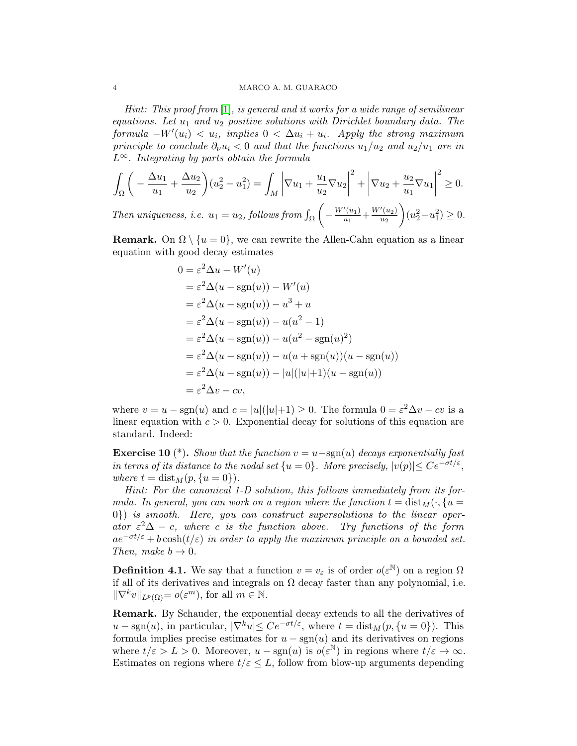Hint: This proof from  $[1]$ , is general and it works for a wide range of semilinear equations. Let  $u_1$  and  $u_2$  positive solutions with Dirichlet boundary data. The  $formula -W'(u_i) < u_i$ , implies  $0 < \Delta u_i + u_i$ . Apply the strong maximum principle to conclude  $\partial_{\nu} u_i < 0$  and that the functions  $u_1/u_2$  and  $u_2/u_1$  are in  $L^{\infty}$ . Integrating by parts obtain the formula

$$
\int_{\Omega} \left( -\frac{\Delta u_1}{u_1} + \frac{\Delta u_2}{u_2} \right) (u_2^2 - u_1^2) = \int_M \left| \nabla u_1 + \frac{u_1}{u_2} \nabla u_2 \right|^2 + \left| \nabla u_2 + \frac{u_2}{u_1} \nabla u_1 \right|^2 \ge 0.
$$

Then uniqueness, i.e.  $u_1 = u_2$ , follows from  $\int_{\Omega}$  $\Bigg(-\frac{W'(u_1)}{u_1}\Bigg)$  $\frac{u_1}{u_1} + \frac{W'(u_2)}{u_2}$  $\overline{u_2}$  $\Big\}\left(u_2^2 - u_1^2\right) \geq 0.$ 

**Remark.** On  $\Omega \setminus \{u = 0\}$ , we can rewrite the Allen-Cahn equation as a linear equation with good decay estimates

$$
0 = \varepsilon^2 \Delta u - W'(u)
$$
  
\n
$$
= \varepsilon^2 \Delta (u - \operatorname{sgn}(u)) - W'(u)
$$
  
\n
$$
= \varepsilon^2 \Delta (u - \operatorname{sgn}(u)) - u^3 + u
$$
  
\n
$$
= \varepsilon^2 \Delta (u - \operatorname{sgn}(u)) - u(u^2 - 1)
$$
  
\n
$$
= \varepsilon^2 \Delta (u - \operatorname{sgn}(u)) - u(u^2 - \operatorname{sgn}(u)^2)
$$
  
\n
$$
= \varepsilon^2 \Delta (u - \operatorname{sgn}(u)) - u(u + \operatorname{sgn}(u))(u - \operatorname{sgn}(u))
$$
  
\n
$$
= \varepsilon^2 \Delta (u - \operatorname{sgn}(u)) - |u| (|u| + 1)(u - \operatorname{sgn}(u))
$$
  
\n
$$
= \varepsilon^2 \Delta v - cv,
$$

where  $v = u - \text{sgn}(u)$  and  $c = |u|(|u|+1) \geq 0$ . The formula  $0 = \varepsilon^2 \Delta v - cv$  is a linear equation with  $c > 0$ . Exponential decay for solutions of this equation are standard. Indeed:

<span id="page-3-0"></span>**Exercise 10** (\*). Show that the function  $v = u-\text{sgn}(u)$  decays exponentially fast in terms of its distance to the nodal set  $\{u = 0\}$ . More precisely,  $|v(p)| \leq Ce^{-\sigma t/\varepsilon}$ , where  $t = \text{dist}_M(p, \{u = 0\}).$ 

Hint: For the canonical 1-D solution, this follows immediately from its formula. In general, you can work on a region where the function  $t = dist_M(\cdot, \{u =$ 0}) is smooth. Here, you can construct supersolutions to the linear operator  $\varepsilon^2\Delta - c$ , where c is the function above. Try functions of the form  $ae^{-\sigma t/\varepsilon} + b \cosh(t/\varepsilon)$  in order to apply the maximum principle on a bounded set. Then, make  $b \rightarrow 0$ .

**Definition 4.1.** We say that a function  $v = v_{\varepsilon}$  is of order  $o(\varepsilon^{\mathbb{N}})$  on a region  $\Omega$ if all of its derivatives and integrals on  $\Omega$  decay faster than any polynomial, i.e.  $\|\nabla^k v\|_{L^p(\Omega)} = o(\varepsilon^m)$ , for all  $m \in \mathbb{N}$ .

Remark. By Schauder, the exponential decay extends to all the derivatives of  $u - \text{sgn}(u)$ , in particular,  $|\nabla^k u| \leq Ce^{-\sigma t/\varepsilon}$ , where  $t = \text{dist}_M(p, \{u = 0\})$ . This formula implies precise estimates for  $u - sgn(u)$  and its derivatives on regions where  $t/\varepsilon > L > 0$ . Moreover,  $u - \text{sgn}(u)$  is  $o(\varepsilon^{\mathbb{N}})$  in regions where  $t/\varepsilon \to \infty$ . Estimates on regions where  $t/\varepsilon \leq L$ , follow from blow-up arguments depending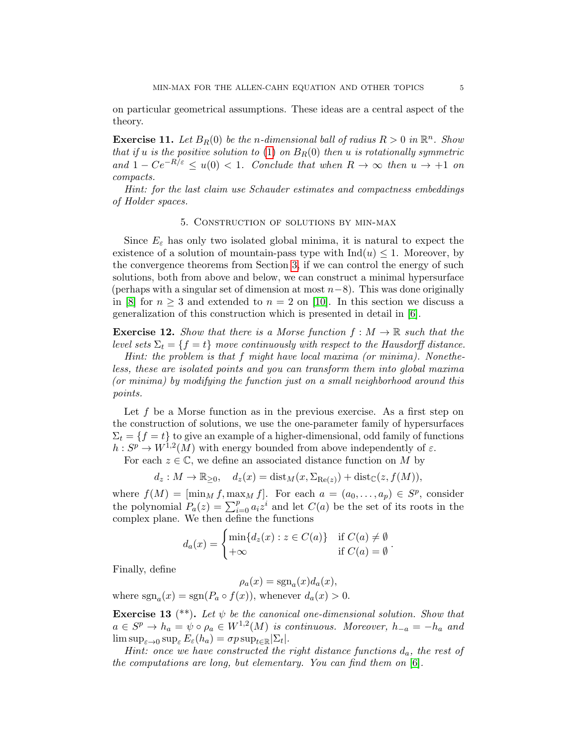on particular geometrical assumptions. These ideas are a central aspect of the theory.

**Exercise 11.** Let  $B_R(0)$  be the n-dimensional ball of radius  $R > 0$  in  $\mathbb{R}^n$ . Show that if u is the positive solution to [\(1\)](#page-0-0) on  $B_R(0)$  then u is rotationally symmetric and  $1 - Ce^{-R/\varepsilon} \le u(0) < 1$ . Conclude that when  $R \to \infty$  then  $u \to +1$  on compacts.

Hint: for the last claim use Schauder estimates and compactness embeddings of Holder spaces.

#### 5. Construction of solutions by min-max

Since  $E_{\varepsilon}$  has only two isolated global minima, it is natural to expect the existence of a solution of mountain-pass type with  $\text{Ind}(u) \leq 1$ . Moreover, by the convergence theorems from Section [3,](#page-1-2) if we can control the energy of such solutions, both from above and below, we can construct a minimal hypersurface (perhaps with a singular set of dimension at most  $n-8$ ). This was done originally in [\[8\]](#page-7-2) for  $n \geq 3$  and extended to  $n = 2$  on [\[10\]](#page-8-5). In this section we discuss a generalization of this construction which is presented in detail in [\[6\]](#page-7-6).

**Exercise 12.** Show that there is a Morse function  $f : M \to \mathbb{R}$  such that the level sets  $\Sigma_t = \{f = t\}$  move continuously with respect to the Hausdorff distance.

Hint: the problem is that f might have local maxima (or minima). Nonetheless, these are isolated points and you can transform them into global maxima (or minima) by modifying the function just on a small neighborhood around this points.

Let f be a Morse function as in the previous exercise. As a first step on the construction of solutions, we use the one-parameter family of hypersurfaces  $\Sigma_t = \{f = t\}$  to give an example of a higher-dimensional, odd family of functions  $h: S^p \to W^{1,2}(M)$  with energy bounded from above independently of  $\varepsilon$ .

For each  $z \in \mathbb{C}$ , we define an associated distance function on M by

$$
d_z: M \to \mathbb{R}_{\geq 0}, \quad d_z(x) = \text{dist}_M(x, \Sigma_{\text{Re}(z)}) + \text{dist}_{\mathbb{C}}(z, f(M)),
$$

where  $f(M) = [\min_M f, \max_M f]$ . For each  $a = (a_0, \ldots, a_p) \in S^p$ , consider the polynomial  $P_a(z) = \sum_{i=0}^p a_i z^i$  and let  $C(a)$  be the set of its roots in the complex plane. We then define the functions

$$
d_a(x) = \begin{cases} \min\{d_z(x) : z \in C(a)\} & \text{if } C(a) \neq \emptyset \\ +\infty & \text{if } C(a) = \emptyset \end{cases}.
$$

Finally, define

 $\rho_a(x) = \text{sgn}_a(x)d_a(x),$ 

where  $sgn_a(x) = sgn(P_a \circ f(x))$ , whenever  $d_a(x) > 0$ .

**Exercise 13** (\*\*). Let  $\psi$  be the canonical one-dimensional solution. Show that  $a \in S^p \to h_a = \psi \circ \rho_a \in W^{1,2}(M)$  is continuous. Moreover,  $h_{-a} = -h_a$  and  $\limsup_{\varepsilon\to 0} \sup_{\varepsilon} E_{\varepsilon}(h_a) = \sigma p \sup_{t\in\mathbb{R}} |\Sigma_t|.$ 

Hint: once we have constructed the right distance functions  $d_a$ , the rest of the computations are long, but elementary. You can find them on [\[6\]](#page-7-6).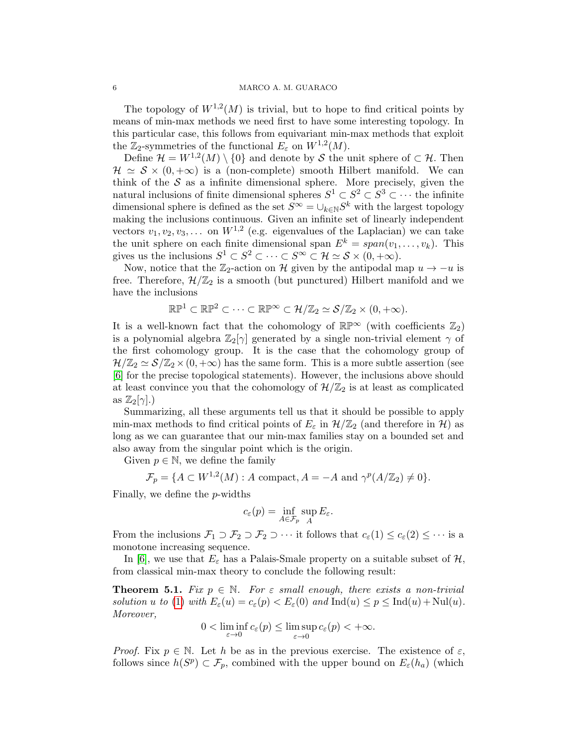## 6 MARCO A. M. GUARACO

The topology of  $W^{1,2}(M)$  is trivial, but to hope to find critical points by means of min-max methods we need first to have some interesting topology. In this particular case, this follows from equivariant min-max methods that exploit the  $\mathbb{Z}_2$ -symmetries of the functional  $E_\varepsilon$  on  $W^{1,2}(M)$ .

Define  $\mathcal{H} = W^{1,2}(M) \setminus \{0\}$  and denote by S the unit sphere of  $\subset \mathcal{H}$ . Then  $\mathcal{H} \simeq \mathcal{S} \times (0, +\infty)$  is a (non-complete) smooth Hilbert manifold. We can think of the  $S$  as a infinite dimensional sphere. More precisely, given the natural inclusions of finite dimensional spheres  $S^1 \subset S^2 \subset S^3 \subset \cdots$  the infinite dimensional sphere is defined as the set  $S^{\infty} = \bigcup_{k \in \mathbb{N}} S^k$  with the largest topology making the inclusions continuous. Given an infinite set of linearly independent vectors  $v_1, v_2, v_3, \ldots$  on  $W^{1,2}$  (e.g. eigenvalues of the Laplacian) we can take the unit sphere on each finite dimensional span  $E^k = span(v_1, \ldots, v_k)$ . This gives us the inclusions  $S^1 \subset S^2 \subset \cdots \subset S^{\infty} \subset \mathcal{H} \simeq \mathcal{S} \times (0, +\infty)$ .

Now, notice that the  $\mathbb{Z}_2$ -action on H given by the antipodal map  $u \to -u$  is free. Therefore,  $\mathcal{H}/\mathbb{Z}_2$  is a smooth (but punctured) Hilbert manifold and we have the inclusions

$$
\mathbb{RP}^1 \subset \mathbb{RP}^2 \subset \cdots \subset \mathbb{RP}^\infty \subset \mathcal{H}/\mathbb{Z}_2 \simeq \mathcal{S}/\mathbb{Z}_2 \times (0, +\infty).
$$

It is a well-known fact that the cohomology of  $\mathbb{RP}^{\infty}$  (with coefficients  $\mathbb{Z}_2$ ) is a polynomial algebra  $\mathbb{Z}_2[\gamma]$  generated by a single non-trivial element  $\gamma$  of the first cohomology group. It is the case that the cohomology group of  $\mathcal{H}/\mathbb{Z}_2 \simeq \mathcal{S}/\mathbb{Z}_2 \times (0, +\infty)$  has the same form. This is a more subtle assertion (see [\[6\]](#page-7-6) for the precise topological statements). However, the inclusions above should at least convince you that the cohomology of  $\mathcal{H}/\mathbb{Z}_2$  is at least as complicated as  $\mathbb{Z}_2[\gamma]$ .)

Summarizing, all these arguments tell us that it should be possible to apply min-max methods to find critical points of  $E_{\varepsilon}$  in  $\mathcal{H}/\mathbb{Z}_2$  (and therefore in H) as long as we can guarantee that our min-max families stay on a bounded set and also away from the singular point which is the origin.

Given  $p \in \mathbb{N}$ , we define the family

$$
\mathcal{F}_p = \{ A \subset W^{1,2}(M) : A \text{ compact}, A = -A \text{ and } \gamma^p(A/\mathbb{Z}_2) \neq 0 \}.
$$

Finally, we define the p-widths

$$
c_{\varepsilon}(p) = \inf_{A \in \mathcal{F}_p} \sup_{A} E_{\varepsilon}.
$$

From the inclusions  $\mathcal{F}_1 \supset \mathcal{F}_2 \supset \mathcal{F}_2 \supset \cdots$  it follows that  $c_{\varepsilon}(1) \leq c_{\varepsilon}(2) \leq \cdots$  is a monotone increasing sequence.

In [\[6\]](#page-7-6), we use that  $E_{\varepsilon}$  has a Palais-Smale property on a suitable subset of  $\mathcal{H}$ , from classical min-max theory to conclude the following result:

**Theorem 5.1.** Fix  $p \in \mathbb{N}$ . For  $\varepsilon$  small enough, there exists a non-trivial solution u to [\(1\)](#page-0-0) with  $E_{\varepsilon}(u) = c_{\varepsilon}(p) < E_{\varepsilon}(0)$  and  $\text{Ind}(u) \leq p \leq \text{Ind}(u) + \text{Nul}(u)$ . Moreover,

$$
0 < \liminf_{\varepsilon \to 0} c_{\varepsilon}(p) \le \limsup_{\varepsilon \to 0} c_{\varepsilon}(p) < +\infty.
$$

*Proof.* Fix  $p \in \mathbb{N}$ . Let h be as in the previous exercise. The existence of  $\varepsilon$ , follows since  $h(S^p) \subset \mathcal{F}_p$ , combined with the upper bound on  $E_{\varepsilon}(h_a)$  (which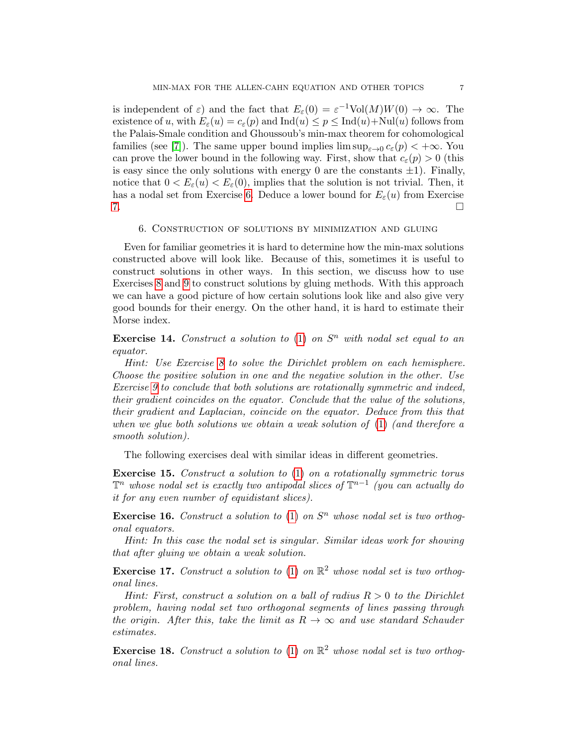is independent of  $\varepsilon$ ) and the fact that  $E_{\varepsilon}(0) = \varepsilon^{-1} \text{Vol}(M)W(0) \to \infty$ . The existence of u, with  $E_{\varepsilon}(u) = c_{\varepsilon}(p)$  and  $\text{Ind}(u) \leq p \leq \text{Ind}(u) + \text{Nul}(u)$  follows from the Palais-Smale condition and Ghoussoub's min-max theorem for cohomological families (see [\[7\]](#page-7-7)). The same upper bound implies  $\limsup_{\varepsilon \to 0} c_{\varepsilon}(p) < +\infty$ . You can prove the lower bound in the following way. First, show that  $c_{\varepsilon}(p) > 0$  (this is easy since the only solutions with energy 0 are the constants  $\pm 1$ ). Finally, notice that  $0 < E_{\varepsilon}(u) < E_{\varepsilon}(0)$ , implies that the solution is not trivial. Then, it has a nodal set from Exercise [6.](#page-2-0) Deduce a lower bound for  $E_{\varepsilon}(u)$  from Exercise  $7.$ 

## 6. Construction of solutions by minimization and gluing

Even for familiar geometries it is hard to determine how the min-max solutions constructed above will look like. Because of this, sometimes it is useful to construct solutions in other ways. In this section, we discuss how to use Exercises [8](#page-2-2) and [9](#page-2-3) to construct solutions by gluing methods. With this approach we can have a good picture of how certain solutions look like and also give very good bounds for their energy. On the other hand, it is hard to estimate their Morse index.

**Exercise 14.** Construct a solution to  $(1)$  on  $S<sup>n</sup>$  with nodal set equal to an equator.

Hint: Use Exercise [8](#page-2-2) to solve the Dirichlet problem on each hemisphere. Choose the positive solution in one and the negative solution in the other. Use Exercise [9](#page-2-3) to conclude that both solutions are rotationally symmetric and indeed, their gradient coincides on the equator. Conclude that the value of the solutions, their gradient and Laplacian, coincide on the equator. Deduce from this that when we glue both solutions we obtain a weak solution of [\(1\)](#page-0-0) (and therefore a smooth solution).

The following exercises deal with similar ideas in different geometries.

Exercise 15. Construct a solution to [\(1\)](#page-0-0) on a rotationally symmetric torus  $\mathbb{T}^n$  whose nodal set is exactly two antipodal slices of  $\mathbb{T}^{n-1}$  (you can actually do it for any even number of equidistant slices).

**Exercise 16.** Construct a solution to  $(1)$  on  $S<sup>n</sup>$  whose nodal set is two orthogonal equators.

Hint: In this case the nodal set is singular. Similar ideas work for showing that after gluing we obtain a weak solution.

**Exercise 17.** Construct a solution to [\(1\)](#page-0-0) on  $\mathbb{R}^2$  whose nodal set is two orthogonal lines.

Hint: First, construct a solution on a ball of radius  $R > 0$  to the Dirichlet problem, having nodal set two orthogonal segments of lines passing through the origin. After this, take the limit as  $R \to \infty$  and use standard Schauder estimates.

**Exercise 18.** Construct a solution to [\(1\)](#page-0-0) on  $\mathbb{R}^2$  whose nodal set is two orthogonal lines.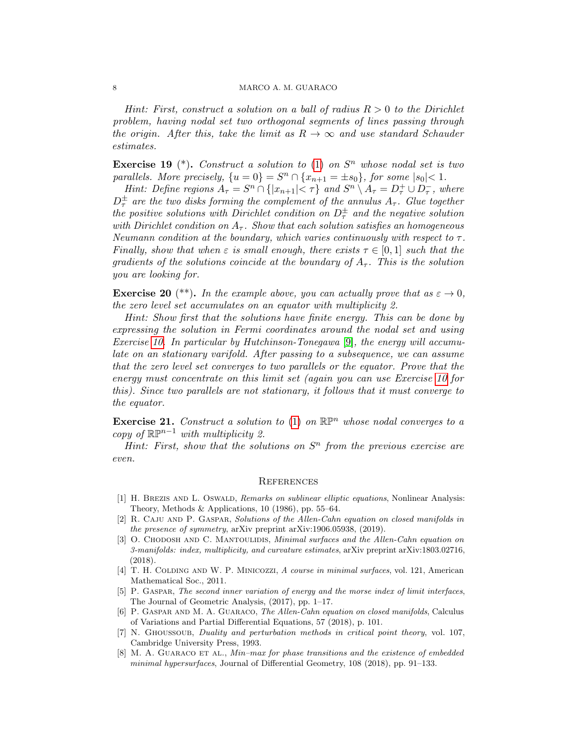## 8 MARCO A. M. GUARACO

Hint: First, construct a solution on a ball of radius  $R > 0$  to the Dirichlet problem, having nodal set two orthogonal segments of lines passing through the origin. After this, take the limit as  $R \to \infty$  and use standard Schauder estimates.

**Exercise 19**  $(*)$ . Construct a solution to [\(1\)](#page-0-0) on  $S<sup>n</sup>$  whose nodal set is two parallels. More precisely,  $\{u = 0\} = S^n \cap \{x_{n+1} = \pm s_0\}$ , for some  $|s_0| < 1$ .

Hint: Define regions  $A_{\tau} = S^n \cap \{|x_{n+1}| < \tau\}$  and  $S^n \setminus A_{\tau} = D_{\tau}^+ \cup D_{\tau}^-$ , where  $D_\tau^\pm$  are the two disks forming the complement of the annulus  $A_\tau$ . Glue together the positive solutions with Dirichlet condition on  $D^{\pm}_{\tau}$  and the negative solution with Dirichlet condition on  $A_{\tau}$ . Show that each solution satisfies an homogeneous Neumann condition at the boundary, which varies continuously with respect to  $\tau$ . Finally, show that when  $\varepsilon$  is small enough, there exists  $\tau \in [0,1]$  such that the gradients of the solutions coincide at the boundary of  $A_{\tau}$ . This is the solution you are looking for.

**Exercise 20** (\*\*). In the example above, you can actually prove that as  $\varepsilon \to 0$ , the zero level set accumulates on an equator with multiplicity 2.

Hint: Show first that the solutions have finite energy. This can be done by expressing the solution in Fermi coordinates around the nodal set and using Exercise [10.](#page-3-0) In particular by Hutchinson-Tonegawa [\[9\]](#page-8-3), the energy will accumulate on an stationary varifold. After passing to a subsequence, we can assume that the zero level set converges to two parallels or the equator. Prove that the energy must concentrate on this limit set (again you can use Exercise [10](#page-3-0) for this). Since two parallels are not stationary, it follows that it must converge to the equator.

**Exercise 21.** Construct a solution to [\(1\)](#page-0-0) on  $\mathbb{R}^{n}$  whose nodal converges to a copy of  $\mathbb{RP}^{n-1}$  with multiplicity 2.

Hint: First, show that the solutions on  $S<sup>n</sup>$  from the previous exercise are even.

#### **REFERENCES**

- <span id="page-7-5"></span>[1] H. BREZIS AND L. OSWALD, Remarks on sublinear elliptic equations, Nonlinear Analysis: Theory, Methods & Applications, 10 (1986), pp. 55–64.
- <span id="page-7-1"></span>[2] R. Caju and P. Gaspar, Solutions of the Allen-Cahn equation on closed manifolds in the presence of symmetry, arXiv preprint arXiv:1906.05938, (2019).
- <span id="page-7-4"></span>[3] O. CHODOSH AND C. MANTOULIDIS, *Minimal surfaces and the Allen-Cahn equation on* 3-manifolds: index, multiplicity, and curvature estimates, arXiv preprint arXiv:1803.02716, (2018).
- <span id="page-7-0"></span>[4] T. H. COLDING AND W. P. MINICOZZI, A course in minimal surfaces, vol. 121, American Mathematical Soc., 2011.
- <span id="page-7-3"></span>[5] P. GASPAR, The second inner variation of energy and the morse index of limit interfaces, The Journal of Geometric Analysis, (2017), pp. 1–17.
- <span id="page-7-6"></span>[6] P. GASPAR AND M. A. GUARACO, The Allen-Cahn equation on closed manifolds, Calculus of Variations and Partial Differential Equations, 57 (2018), p. 101.
- <span id="page-7-7"></span>[7] N. Ghoussoub, Duality and perturbation methods in critical point theory, vol. 107, Cambridge University Press, 1993.
- <span id="page-7-2"></span>[8] M. A. GUARACO ET AL., Min–max for phase transitions and the existence of embedded minimal hypersurfaces, Journal of Differential Geometry, 108 (2018), pp. 91–133.